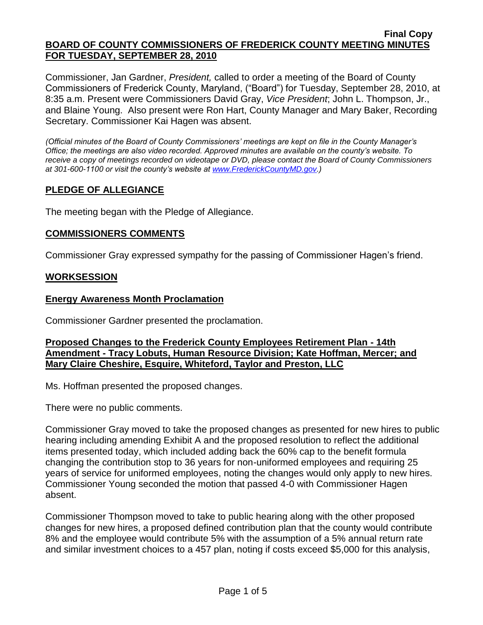Commissioner, Jan Gardner, *President,* called to order a meeting of the Board of County Commissioners of Frederick County, Maryland, ("Board") for Tuesday, September 28, 2010, at 8:35 a.m. Present were Commissioners David Gray, *Vice President*; John L. Thompson, Jr., and Blaine Young. Also present were Ron Hart, County Manager and Mary Baker, Recording Secretary. Commissioner Kai Hagen was absent.

*(Official minutes of the Board of County Commissioners' meetings are kept on file in the County Manager's Office; the meetings are also video recorded. Approved minutes are available on the county's website. To receive a copy of meetings recorded on videotape or DVD, please contact the Board of County Commissioners at 301-600-1100 or visit the county's website at [www.FrederickCountyMD.gov.](http://www.frederickcountymd.gov/))*

# **PLEDGE OF ALLEGIANCE**

The meeting began with the Pledge of Allegiance.

# **COMMISSIONERS COMMENTS**

Commissioner Gray expressed sympathy for the passing of Commissioner Hagen's friend.

## **WORKSESSION**

## **Energy Awareness Month Proclamation**

Commissioner Gardner presented the proclamation.

## **Proposed Changes to the Frederick County Employees Retirement Plan - 14th Amendment - Tracy Lobuts, Human Resource Division; Kate Hoffman, Mercer; and Mary Claire Cheshire, Esquire, Whiteford, Taylor and Preston, LLC**

Ms. Hoffman presented the proposed changes.

There were no public comments.

Commissioner Gray moved to take the proposed changes as presented for new hires to public hearing including amending Exhibit A and the proposed resolution to reflect the additional items presented today, which included adding back the 60% cap to the benefit formula changing the contribution stop to 36 years for non-uniformed employees and requiring 25 years of service for uniformed employees, noting the changes would only apply to new hires. Commissioner Young seconded the motion that passed 4-0 with Commissioner Hagen absent.

Commissioner Thompson moved to take to public hearing along with the other proposed changes for new hires, a proposed defined contribution plan that the county would contribute 8% and the employee would contribute 5% with the assumption of a 5% annual return rate and similar investment choices to a 457 plan, noting if costs exceed \$5,000 for this analysis,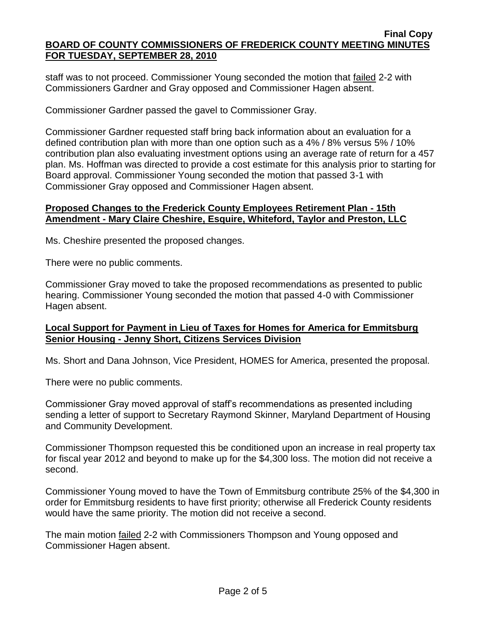staff was to not proceed. Commissioner Young seconded the motion that failed 2-2 with Commissioners Gardner and Gray opposed and Commissioner Hagen absent.

Commissioner Gardner passed the gavel to Commissioner Gray.

Commissioner Gardner requested staff bring back information about an evaluation for a defined contribution plan with more than one option such as a 4% / 8% versus 5% / 10% contribution plan also evaluating investment options using an average rate of return for a 457 plan. Ms. Hoffman was directed to provide a cost estimate for this analysis prior to starting for Board approval. Commissioner Young seconded the motion that passed 3-1 with Commissioner Gray opposed and Commissioner Hagen absent.

# **Proposed Changes to the Frederick County Employees Retirement Plan - 15th Amendment - Mary Claire Cheshire, Esquire, Whiteford, Taylor and Preston, LLC**

Ms. Cheshire presented the proposed changes.

There were no public comments.

Commissioner Gray moved to take the proposed recommendations as presented to public hearing. Commissioner Young seconded the motion that passed 4-0 with Commissioner Hagen absent.

## **Local Support for Payment in Lieu of Taxes for Homes for America for Emmitsburg Senior Housing - Jenny Short, Citizens Services Division**

Ms. Short and Dana Johnson, Vice President, HOMES for America, presented the proposal.

There were no public comments.

Commissioner Gray moved approval of staff's recommendations as presented including sending a letter of support to Secretary Raymond Skinner, Maryland Department of Housing and Community Development.

Commissioner Thompson requested this be conditioned upon an increase in real property tax for fiscal year 2012 and beyond to make up for the \$4,300 loss. The motion did not receive a second.

Commissioner Young moved to have the Town of Emmitsburg contribute 25% of the \$4,300 in order for Emmitsburg residents to have first priority; otherwise all Frederick County residents would have the same priority. The motion did not receive a second.

The main motion failed 2-2 with Commissioners Thompson and Young opposed and Commissioner Hagen absent.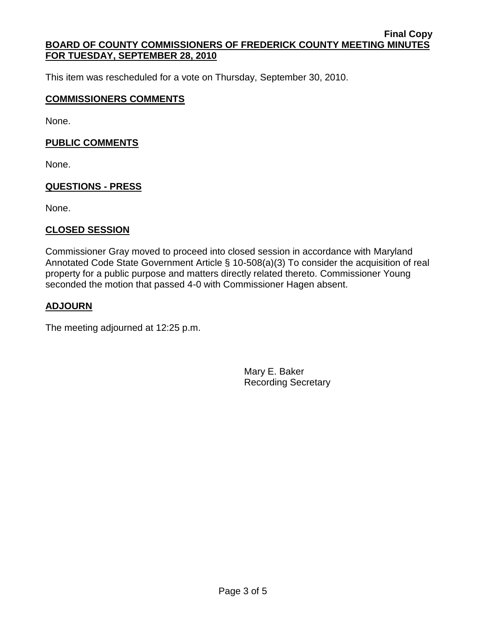This item was rescheduled for a vote on Thursday, September 30, 2010.

#### **COMMISSIONERS COMMENTS**

None.

#### **PUBLIC COMMENTS**

None.

#### **QUESTIONS - PRESS**

None.

## **CLOSED SESSION**

Commissioner Gray moved to proceed into closed session in accordance with Maryland Annotated Code State Government Article § 10-508(a)(3) To consider the acquisition of real property for a public purpose and matters directly related thereto. Commissioner Young seconded the motion that passed 4-0 with Commissioner Hagen absent.

#### **ADJOURN**

The meeting adjourned at 12:25 p.m.

Mary E. Baker Recording Secretary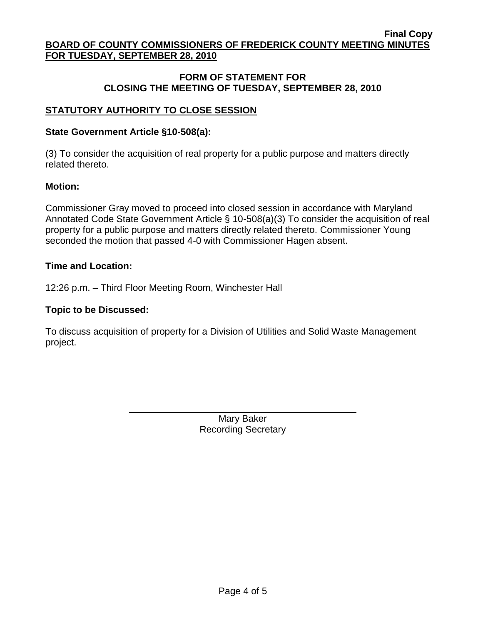# **FORM OF STATEMENT FOR CLOSING THE MEETING OF TUESDAY, SEPTEMBER 28, 2010**

# **STATUTORY AUTHORITY TO CLOSE SESSION**

#### **State Government Article §10-508(a):**

(3) To consider the acquisition of real property for a public purpose and matters directly related thereto.

#### **Motion:**

Commissioner Gray moved to proceed into closed session in accordance with Maryland Annotated Code State Government Article § 10-508(a)(3) To consider the acquisition of real property for a public purpose and matters directly related thereto. Commissioner Young seconded the motion that passed 4-0 with Commissioner Hagen absent.

#### **Time and Location:**

12:26 p.m. – Third Floor Meeting Room, Winchester Hall

#### **Topic to be Discussed:**

To discuss acquisition of property for a Division of Utilities and Solid Waste Management project.

> Mary Baker Recording Secretary